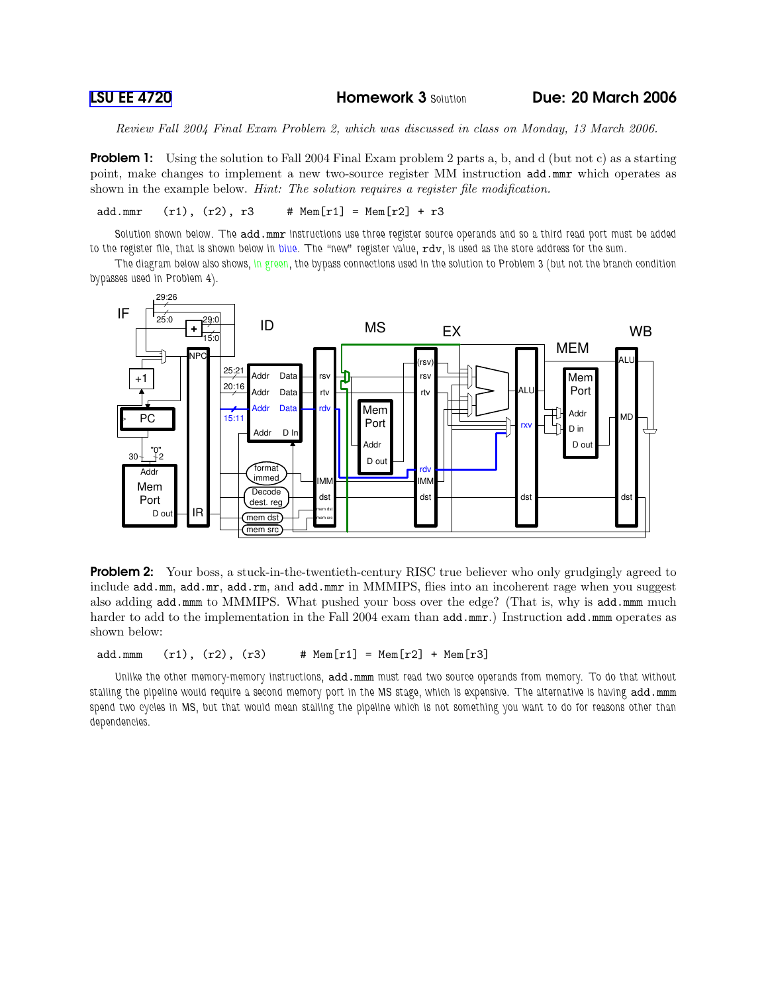Review Fall 2004 Final Exam Problem 2, which was discussed in class on Monday, 13 March 2006.

**Problem 1:** Using the solution to Fall 2004 Final Exam problem 2 parts a, b, and d (but not c) as a starting point, make changes to implement a new two-source register MM instruction add.mmr which operates as shown in the example below. *Hint: The solution requires a reqister file modification*.

add.mmr  $(r1)$ ,  $(r2)$ ,  $r3$  # Mem $[r1]$  = Mem $[r2]$  +  $r3$ 

Solution shown below. The add.mmr instructions use three register source operands and so a third read port must be added to the register file, that is shown below in blue. The "new" register value, rdv, is used as the store address for the sum.

The diagram below also shows, in green, the bypass connections used in the solution to Problem 3 (but not the branch condition bypasses used in Problem 4).



**Problem 2:** Your boss, a stuck-in-the-twentieth-century RISC true believer who only grudgingly agreed to include add.mm, add.mr, add.rm, and add.mmr in MMMIPS, flies into an incoherent rage when you suggest also adding add.mmm to MMMIPS. What pushed your boss over the edge? (That is, why is add.mmm much harder to add to the implementation in the Fall 2004 exam than  $add.mmr$ .) Instruction add.mmm operates as shown below:

add.mmm  $(r1)$ ,  $(r2)$ ,  $(r3)$  #  $Mem[r1] = Mem[r2] + Mem[r3]$ 

Unlike the other memory-memory instructions, add.mmm must read two source operands from memory. To do that without stalling the pipeline would require a second memory port in the MS stage, which is expensive. The alternative is having add.mmm spend two cycles in MS, but that would mean stalling the pipeline which is not something you want to do for reasons other than dependencies.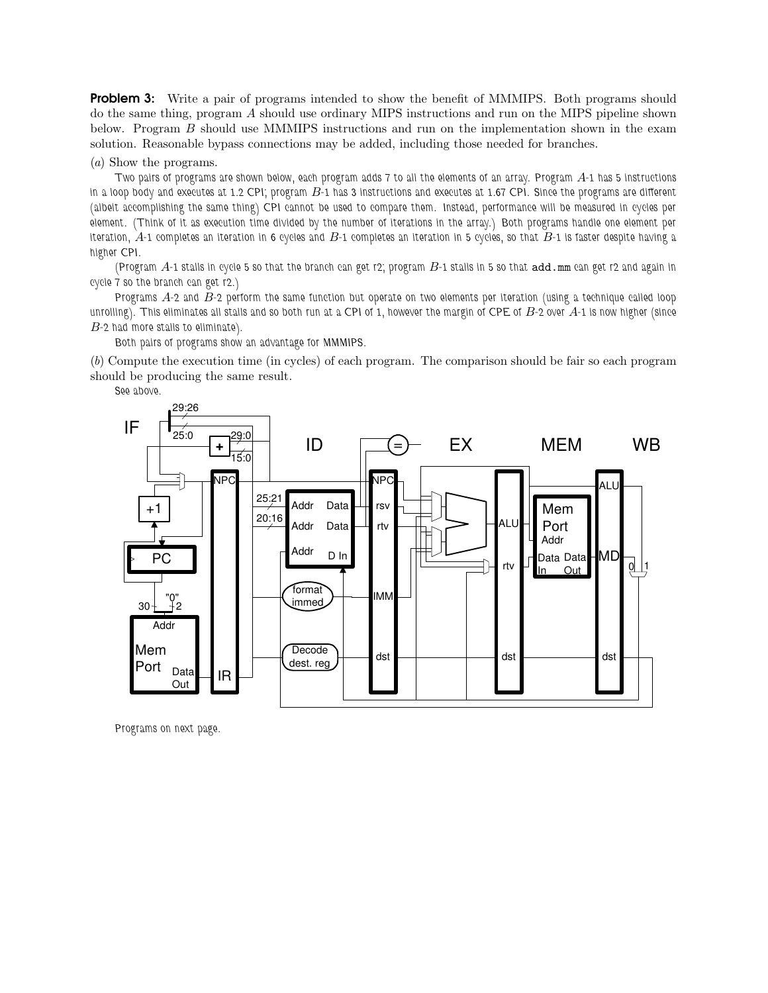**Problem 3:** Write a pair of programs intended to show the benefit of MMMIPS. Both programs should do the same thing, program A should use ordinary MIPS instructions and run on the MIPS pipeline shown below. Program B should use MMMIPS instructions and run on the implementation shown in the exam solution. Reasonable bypass connections may be added, including those needed for branches.

## (a) Show the programs.

Two pairs of programs are shown below, each program adds 7 to all the elements of an array. Program  $A$ -1 has 5 instructions in a loop body and executes at 1.2 CPI; program  $B$ -1 has 3 instructions and executes at 1.67 CPI. Since the programs are different (albeit accomplishing the same thing) CPI cannot be used to compare them. Instead, performance will be measured in cycles per element. (Think of it as execution time divided by the number of iterations in the array.) Both programs handle one element per iteration,  $A$ -1 completes an iteration in 6 cycles and  $B$ -1 completes an iteration in 5 cycles, so that  $B$ -1 is faster despite having a higher CPI.

(Program  $A$ -1 stalls in cycle 5 so that the branch can get r2; program  $B$ -1 stalls in 5 so that  $\text{add. mm}$  can get r2 and again in cycle 7 so the branch can get r2.)

Programs A-2 and B-2 perform the same function but operate on two elements per iteration (using a technique called loop unrolling). This eliminates all stalls and so both run at a CPI of 1, however the margin of CPE of  $B$ -2 over  $A$ -1 is now higher (since B-2 had more stalls to eliminate).

Both pairs of programs show an advantage for MMMIPS.

(b) Compute the execution time (in cycles) of each program. The comparison should be fair so each program should be producing the same result.

See above.



Programs on next page.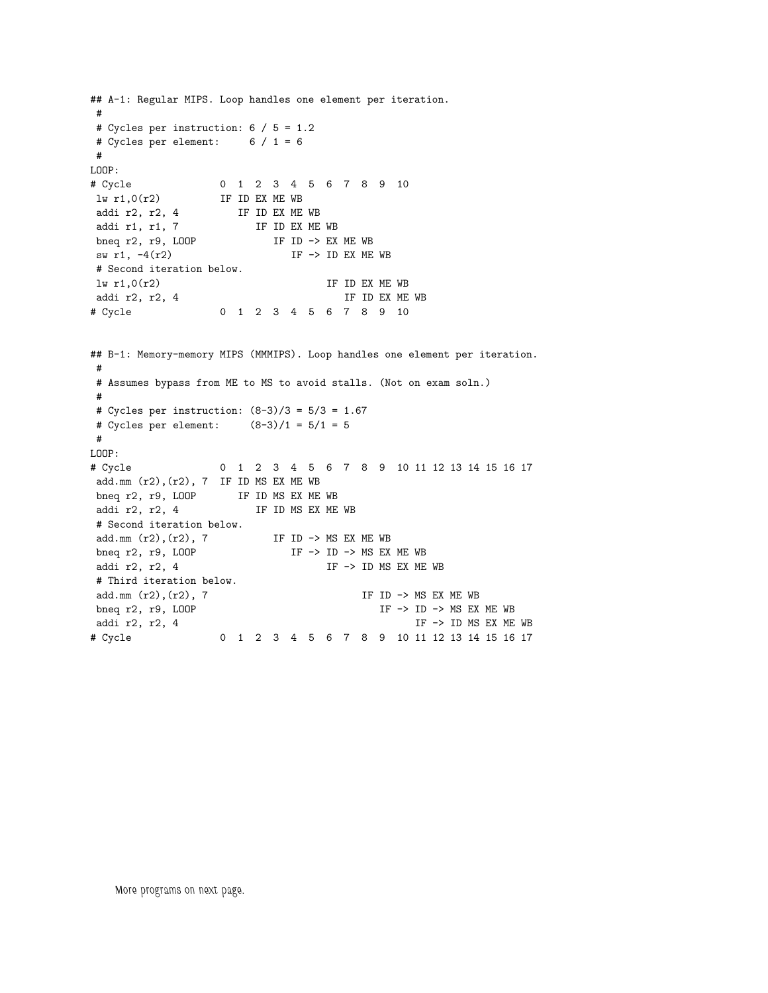```
## A-1: Regular MIPS. Loop handles one element per iteration.
#
# Cycles per instruction: 6 / 5 = 1.2
# Cycles per element: 6 / 1 = 6
#
LOOP:
# Cycle 0 1 2 3 4 5 6 7 8 9 10
1w r1,0(r2) IF ID EX ME WB<br>addi r2, r2, 4 IF ID EX ME<br>addi r1, r1, 7 IF ID EX
                  IF ID EX ME WB
                     IF ID EX ME WB
bneq r2, r9, LOOP IF ID -> EX ME WB<br>bneq r2, r9, LOOP IF ID -> EX ME WB
sw r1, -4(r2) IF \rightarrow ID EX ME WB
# Second iteration below.
\frac{1}{2} lv r1,0(r2) \frac{1}{2} lF ID EX ME WB addi r2, r2, 4 \frac{1}{2} IF ID EX ME WB
addi r2, r2, 4
# Cycle 0 1 2 3 4 5 6 7 8 9 10
## B-1: Memory-memory MIPS (MMMIPS). Loop handles one element per iteration.
 #
# Assumes bypass from ME to MS to avoid stalls. (Not on exam soln.)
#
# Cycles per instruction: (8-3)/3 = 5/3 = 1.67
# Cycles per element: (8-3)/1 = 5/1 = 5
#
LOOP:
# Cycle 0 1 2 3 4 5 6 7 8 9 10 11 12 13 14 15 16 17
add.mm (r2),(r2), 7 IF ID MS EX ME WB
 bneq r2, r9, LOOP IF ID MS EX ME WB
 addi r2, r2, 4 IF ID MS EX ME WB
# Second iteration below.
add.mm (r2),(r2), 7 IF ID -> MS EX ME WB<br>bneq r2, r9, LOOP IF -> ID -> MS EX ME WB
bneq r2, r9, L00Paddi r2, r2, 4 IF \rightarrow ID MS EX ME WB# Third iteration below.
add.mm (r2),(r2), 7 IF ID -> MS EX ME WB
bneq r2, r9, LOOP IF \rightarrow ID \rightarrow MS EX ME WBaddi r2, r2, 4 IF -> ID MS EX ME WB
# Cycle 0 1 2 3 4 5 6 7 8 9 10 11 12 13 14 15 16 17
```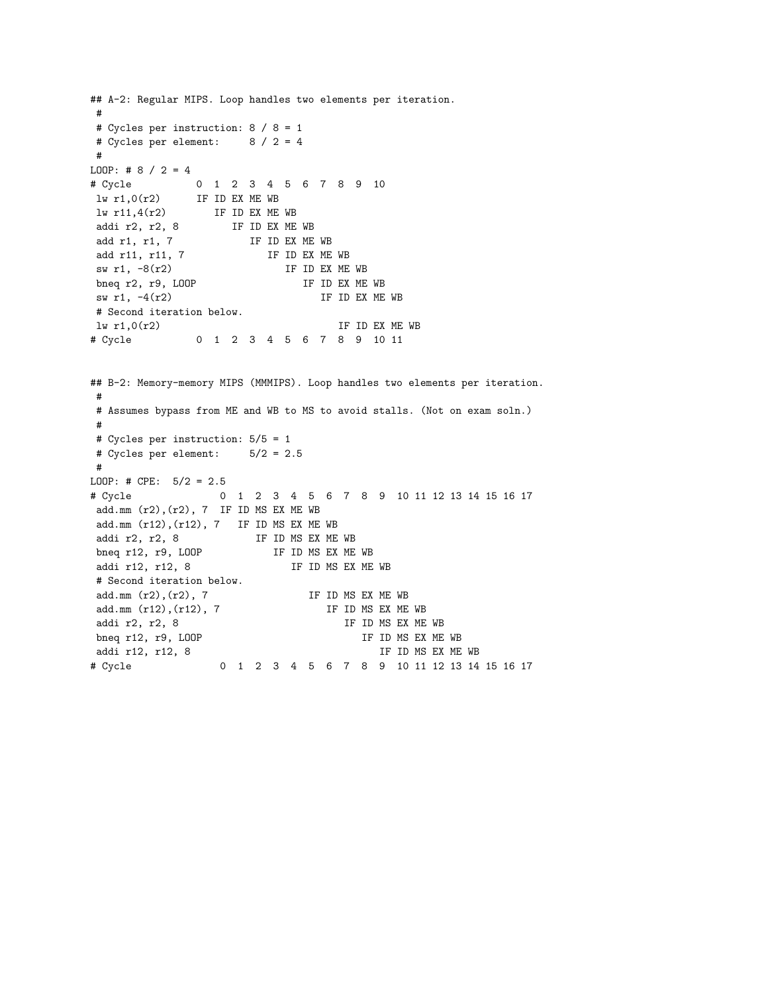```
## A-2: Regular MIPS. Loop handles two elements per iteration.
#
# Cycles per instruction: 8 / 8 = 1
# Cycles per element: 8 / 2 = 4
 #
LOOP: # 8 / 2 = 4# Cycle 0 1 2 3 4 5 6 7 8 9 10
 lw r1,0(r2) IF ID EX ME WB
\begin{array}{ccc} -2 & 3 & 4 & 5 \\ -1 & 1 & 0 & 0 \\ 1 & 1 & 1 & 4 & 0 \\ 2 & 3 & 4 & 5 \\ 3 & 1 & 1 & 4 & 0 \\ 3 & 1 & 1 & 4 & 0 \\ 3 & 1 & 1 & 1 & 0 \\ 3 & 1 & 1 & 1 & 0 \\ 3 & 1 & 1 & 1 & 0 \\ 3 & 1 & 1 & 1 & 0 \\ 3 & 1 & 1 & 1 & 0 \\ 3 & 1 & 1 & 1 & 0 \\ 3 & 1 & 1 & 1 & 0 \\ 3 & 1 & 1 & 1 & 0 \\ 3 & 1 & 1 & 1 &addi r2, r2, 8 IF ID EX ME WB
add r1, r1, 7 IF ID EX ME WB
add r11, r11, 7 IF ID EX ME WB
\frac{1}{2} sw r1, -8(r2) IF ID EX ME WB<br>bneq r2, r9, LOOP IF ID EX ME WB
bneq r2, r9, L00Psw r1, -4(r2) IF ID EX ME WB
# Second iteration below.
\ln r1,0(r2) IF ID EX ME WB
# Cycle 0 1 2 3 4 5 6 7 8 9 10 11
## B-2: Memory-memory MIPS (MMMIPS). Loop handles two elements per iteration.
#
# Assumes bypass from ME and WB to MS to avoid stalls. (Not on exam soln.)
#
# Cycles per instruction: 5/5 = 1
# Cycles per element: 5/2 = 2.5
 #
LOOP: # CPE: 5/2 = 2.5
# Cycle 0 1 2 3 4 5 6 7 8 9 10 11 12 13 14 15 16 17
add.mm (r2),(r2), 7 IF ID MS EX ME WB
add.mm (r12),(r12), 7 IF ID MS EX ME WB
addi r2, r2, 8 IF ID MS EX ME WB<br>bneq r12, r9, LOOP IF ID MS EX ME WB
bneq r12, r9, L00Paddi r12, r12, 8 IF ID MS EX ME WB
# Second iteration below.
add.mm (r2), (r2), 7 IF ID MS EX ME WB
add.mm (r12), (r12), 7 IF ID MS EX ME WB
addi r2, r2, 8 IF ID MS EX ME WB
bneq r12, r9, LOOP IF ID MS EX ME WB
addi r12, r12, 8 IF ID MS EX ME WB
# Cycle 0 1 2 3 4 5 6 7 8 9 10 11 12 13 14 15 16 17
```